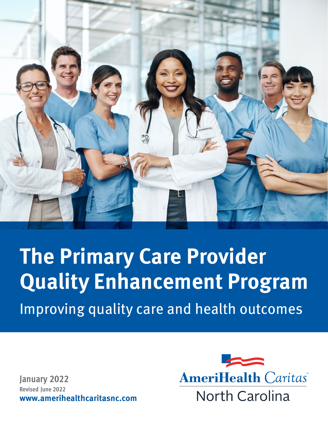

**The Primary Care Provider Quality Enhancement Program** Improving quality care and health outcomes

**January 2022 Revised June 2022 www.amerihealthcaritasnc.com**

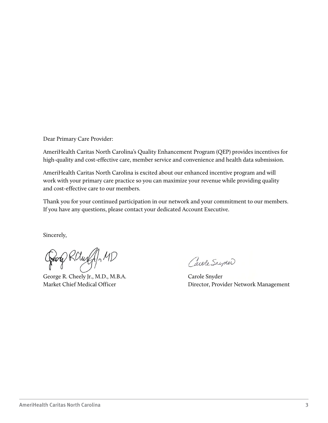Dear Primary Care Provider:

AmeriHealth Caritas North Carolina's Quality Enhancement Program (QEP) provides incentives for high-quality and cost-effective care, member service and convenience and health data submission.

AmeriHealth Caritas North Carolina is excited about our enhanced incentive program and will work with your primary care practice so you can maximize your revenue while providing quality and cost-effective care to our members.

Thank you for your continued participation in our network and your commitment to our members. If you have any questions, please contact your dedicated Account Executive.

Sincerely,

Georg RCluff, MD

George R. Cheely Jr., M.D., M.B.A. Market Chief Medical Officer

Carole Snyder

Carole Snyder Director, Provider Network Management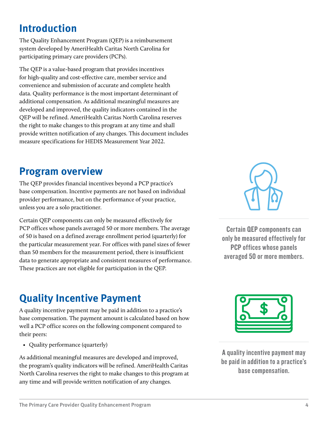#### <span id="page-3-0"></span>**Introduction**

The Quality Enhancement Program (QEP) is a reimbursement system developed by AmeriHealth Caritas North Carolina for participating primary care providers (PCPs).

The QEP is a value-based program that provides incentives for high-quality and cost-effective care, member service and convenience and submission of accurate and complete health data. Quality performance is the most important determinant of additional compensation. As additional meaningful measures are developed and improved, the quality indicators contained in the QEP will be refined. AmeriHealth Caritas North Carolina reserves the right to make changes to this program at any time and shall provide written notification of any changes. This document includes measure specifications for HEDIS Measurement Year 2022.

#### **Program overview**

The QEP provides financial incentives beyond a PCP practice's base compensation. Incentive payments are not based on individual provider performance, but on the performance of your practice, unless you are a solo practitioner.

Certain QEP components can only be measured effectively for PCP offices whose panels averaged 50 or more members. The average of 50 is based on a defined average enrollment period (quarterly) for the particular measurement year. For offices with panel sizes of fewer than 50 members for the measurement period, there is insufficient data to generate appropriate and consistent measures of performance. These practices are not eligible for participation in the QEP.

#### **Quality Incentive Payment**

A quality incentive payment may be paid in addition to a practice's base compensation. The payment amount is calculated based on how well a PCP office scores on the following component compared to their peers:

• Quality performance (quarterly)

As additional meaningful measures are developed and improved, the program's quality indicators will be refined. AmeriHealth Caritas North Carolina reserves the right to make changes to this program at any time and will provide written notification of any changes.



Certain QEP components can only be measured effectively for PCP offices whose panels averaged 50 or more members.



A quality incentive payment may be paid in addition to a practice's base compensation.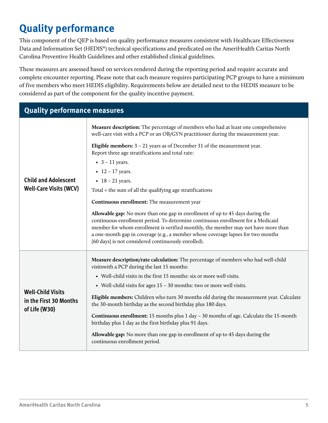### <span id="page-4-0"></span>**Quality performance**

This component of the QEP is based on quality performance measures consistent with Healthcare Effectiveness Data and Information Set (HEDIS®) technical specifications and predicated on the AmeriHealth Caritas North Carolina Preventive Health Guidelines and other established clinical guidelines.

These measures are assessed based on services rendered during the reporting period and require accurate and complete encounter reporting. Please note that each measure requires participating PCP groups to have a minimum of five members who meet HEDIS eligibility. Requirements below are detailed next to the HEDIS measure to be considered as part of the component for the quality incentive payment.

| <b>Quality performance measures</b>                                 |                                                                                                                                                                                                                                                                                                                                                                                                                                                                                                                                                                                                                                                                                                                                                 |  |  |  |
|---------------------------------------------------------------------|-------------------------------------------------------------------------------------------------------------------------------------------------------------------------------------------------------------------------------------------------------------------------------------------------------------------------------------------------------------------------------------------------------------------------------------------------------------------------------------------------------------------------------------------------------------------------------------------------------------------------------------------------------------------------------------------------------------------------------------------------|--|--|--|
| <b>Child and Adolescent</b><br><b>Well-Care Visits (WCV)</b>        | <b>Measure description:</b> The percentage of members who had at least one comprehensive<br>well-care visit with a PCP or an OB/GYN practitioner during the measurement year.<br>Eligible members: $3 - 21$ years as of December 31 of the measurement year.<br>Report three age stratifications and total rate:<br>• $3 - 11$ years.<br>• $12 - 17$ years.<br>• $18 - 21$ years.                                                                                                                                                                                                                                                                                                                                                               |  |  |  |
|                                                                     | Total = the sum of all the qualifying age stratifications<br>Continuous enrollment: The measurement year<br>Allowable gap: No more than one gap in enrollment of up to 45 days during the<br>continuous enrollment period. To determine continuous enrollment for a Medicaid<br>member for whom enrollment is verified monthly, the member may not have more than<br>a one-month gap in coverage (e.g., a member whose coverage lapses for two months<br>[60 days] is not considered continuously enrolled).                                                                                                                                                                                                                                    |  |  |  |
| <b>Well-Child Visits</b><br>in the First 30 Months<br>of Life (W30) | Measure description/rate calculation: The percentage of members who had well-child<br>visits with a PCP during the last 15 months:<br>• Well-child visits in the first 15 months: six or more well visits.<br>• Well-child visits for ages 15 - 30 months: two or more well visits.<br>Eligible members: Children who turn 30 months old during the measurement year. Calculate<br>the 30-month birthday as the second birthday plus 180 days.<br><b>Continuous enrollment:</b> 15 months plus $1 \, \text{day} - 30$ months of age. Calculate the 15-month<br>birthday plus 1 day as the first birthday plus 91 days.<br><b>Allowable gap:</b> No more than one gap in enrollment of up to 45 days during the<br>continuous enrollment period. |  |  |  |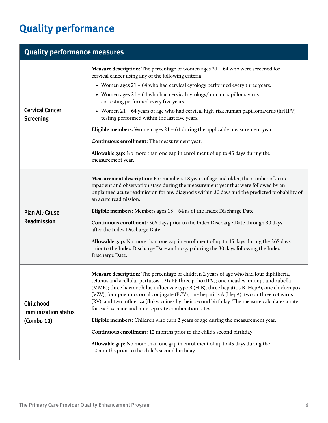# **Quality performance**

| <b>Quality performance measures</b>            |                                                                                                                                                                                                                                                                                                                                                                                                                                                                                                                                                                                                                                                                                                                                                                                                                                                   |  |  |  |
|------------------------------------------------|---------------------------------------------------------------------------------------------------------------------------------------------------------------------------------------------------------------------------------------------------------------------------------------------------------------------------------------------------------------------------------------------------------------------------------------------------------------------------------------------------------------------------------------------------------------------------------------------------------------------------------------------------------------------------------------------------------------------------------------------------------------------------------------------------------------------------------------------------|--|--|--|
| <b>Cervical Cancer</b><br><b>Screening</b>     | Measure description: The percentage of women ages 21 - 64 who were screened for<br>cervical cancer using any of the following criteria:<br>• Women ages 21 - 64 who had cervical cytology performed every three years.<br>• Women ages 21 - 64 who had cervical cytology/human papillomavirus<br>co-testing performed every five years.<br>• Women 21 - 64 years of age who had cervical high-risk human papillomavirus (hrHPV)<br>testing performed within the last five years.<br>Eligible members: Women ages $21 - 64$ during the applicable measurement year.<br>Continuous enrollment: The measurement year.<br>Allowable gap: No more than one gap in enrollment of up to 45 days during the<br>measurement year.                                                                                                                          |  |  |  |
|                                                | <b>Measurement description:</b> For members 18 years of age and older, the number of acute                                                                                                                                                                                                                                                                                                                                                                                                                                                                                                                                                                                                                                                                                                                                                        |  |  |  |
| <b>Plan All-Cause</b><br>Readmission           | inpatient and observation stays during the measurement year that were followed by an<br>unplanned acute readmission for any diagnosis within 30 days and the predicted probability of<br>an acute readmission.<br><b>Eligible members:</b> Members ages $18 - 64$ as of the Index Discharge Date.<br><b>Continuous enrollment:</b> 365 days prior to the Index Discharge Date through 30 days<br>after the Index Discharge Date.<br>Allowable gap: No more than one gap in enrollment of up to 45 days during the 365 days<br>prior to the Index Discharge Date and no gap during the 30 days following the Index<br>Discharge Date.                                                                                                                                                                                                              |  |  |  |
| Childhood<br>immunization status<br>(Combo 10) | <b>Measure description:</b> The percentage of children 2 years of age who had four diphtheria,<br>tetanus and acellular pertussis (DTaP); three polio (IPV); one measles, mumps and rubella<br>(MMR); three haemophilus influenzae type B (HiB); three hepatitis B (HepB), one chicken pox<br>(VZV); four pneumococcal conjugate (PCV); one hepatitis A (HepA); two or three rotavirus<br>(RV); and two influenza (flu) vaccines by their second birthday. The measure calculates a rate<br>for each vaccine and nine separate combination rates.<br>Eligible members: Children who turn 2 years of age during the measurement year.<br>Continuous enrollment: 12 months prior to the child's second birthday<br>Allowable gap: No more than one gap in enrollment of up to 45 days during the<br>12 months prior to the child's second birthday. |  |  |  |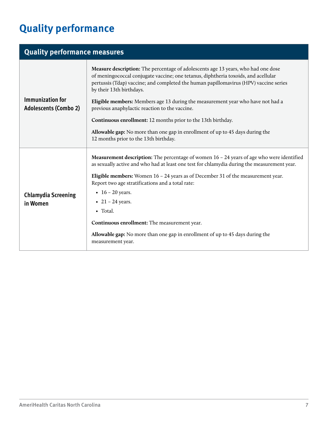# **Quality performance**

| <b>Quality performance measures</b>                     |                                                                                                                                                                                                                                                                                                                                                                                                                                                                                                                                                           |  |  |  |
|---------------------------------------------------------|-----------------------------------------------------------------------------------------------------------------------------------------------------------------------------------------------------------------------------------------------------------------------------------------------------------------------------------------------------------------------------------------------------------------------------------------------------------------------------------------------------------------------------------------------------------|--|--|--|
| <b>Immunization for</b><br><b>Adolescents (Combo 2)</b> | <b>Measure description:</b> The percentage of adolescents age 13 years, who had one dose<br>of meningococcal conjugate vaccine; one tetanus, diphtheria toxoids, and acellular<br>pertussis (Tdap) vaccine; and completed the human papillomavirus (HPV) vaccine series<br>by their 13th birthdays.<br>Eligible members: Members age 13 during the measurement year who have not had a<br>previous anaphylactic reaction to the vaccine.<br>Continuous enrollment: 12 months prior to the 13th birthday.                                                  |  |  |  |
|                                                         | Allowable gap: No more than one gap in enrollment of up to 45 days during the<br>12 months prior to the 13th birthday.                                                                                                                                                                                                                                                                                                                                                                                                                                    |  |  |  |
| <b>Chlamydia Screening</b><br>in Women                  | <b>Measurement description:</b> The percentage of women $16 - 24$ years of age who were identified<br>as sexually active and who had at least one test for chlamydia during the measurement year.<br>Eligible members: Women $16 - 24$ years as of December 31 of the measurement year.<br>Report two age stratifications and a total rate:<br>• $16 - 20$ years.<br>• $21 - 24$ years.<br>• Total.<br>Continuous enrollment: The measurement year.<br>Allowable gap: No more than one gap in enrollment of up to 45 days during the<br>measurement year. |  |  |  |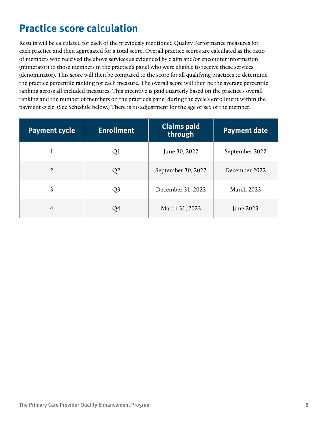#### <span id="page-7-0"></span>**Practice score calculation**

Results will be calculated for each of the previously mentioned Quality Performance measures for each practice and then aggregated for a total score. Overall practice scores are calculated as the ratio of members who received the above services as evidenced by claim and/or encounter information (numerator) to those members in the practice's panel who were eligible to receive these services (denominator). This score will then be compared to the score for all qualifying practices to determine the practice percentile ranking for each measure. The overall score will then be the average percentile ranking across all included measures. This incentive is paid quarterly based on the practice's overall ranking and the number of members on the practice's panel during the cycle's enrollment within the payment cycle. (See Schedule below.) There is no adjustment for the age or sex of the member.

| <b>Payment cycle</b> | <b>Enrollment</b> | <b>Claims paid</b><br>through | <b>Payment date</b> |
|----------------------|-------------------|-------------------------------|---------------------|
| 1                    | Q <sub>1</sub>    | June 30, 2022                 | September 2022      |
| $\overline{2}$       | Q2                | September 30, 2022            | December 2022       |
| 3                    | Q <sub>3</sub>    | December 31, 2022             | <b>March 2023</b>   |
| $\overline{4}$       | Q4                | March 31, 2023                | June 2023           |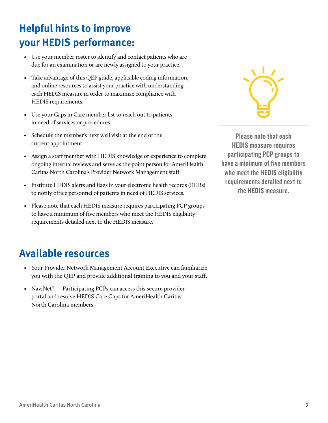### <span id="page-8-0"></span>**Helpful hints to improve your HEDIS performance:**

- Use your member roster to identify and contact patients who are due for an examination or are newly assigned to your practice.
- Take advantage of this QEP guide, applicable coding information, and online resources to assist your practice with understanding each HEDIS measure in order to maximize compliance with HEDIS requirements.
- Use your Gaps in Care member list to reach out to patients in need of services or procedures.
- Schedule the member's next well visit at the end of the current appointment.
- Assign a staff member with HEDIS knowledge or experience to complete ongoing internal reviews and serve as the point person for AmeriHealth Caritas North Carolina's Provider Network Management staff.
- Institute HEDIS alerts and flags in your electronic health records (EHRs) to notify office personnel of patients in need of HEDIS services.
- Please note that each HEDIS measure requires participating PCP groups to have a minimum of five members who meet the HEDIS eligibility requirements detailed next to the HEDIS measure.



Please note that each HEDIS measure requires participating PCP groups to have a minimum of five members who meet the HEDIS eligibility requirements detailed next to the HEDIS measure.

#### **Available resources**

- Your Provider Network Management Account Executive can familiarize you with the QEP and provide additional training to you and your staff.
- NaviNet<sup>®</sup>  $-$  Participating PCPs can access this secure provider portal and resolve HEDIS Care Gaps for AmeriHealth Caritas North Carolina members.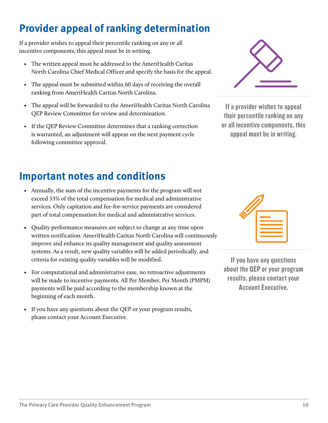# <span id="page-9-0"></span>**Provider appeal of ranking determination**

If a provider wishes to appeal their percentile ranking on any or all incentive components, this appeal must be in writing.

- The written appeal must be addressed to the AmeriHealth Caritas North Carolina Chief Medical Officer and specify the basis for the appeal.
- The appeal must be submitted within 60 days of receiving the overall ranking from AmeriHealth Caritas North Carolina.
- The appeal will be forwarded to the AmeriHealth Caritas North Carolina QEP Review Committee for review and determination.
- If the QEP Review Committee determines that a ranking correction is warranted, an adjustment will appear on the next payment cycle following committee approval.



If a provider wishes to appeal their percentile ranking on any or all incentive components, this appeal must be in writing.

#### **Important notes and conditions**

- Annually, the sum of the incentive payments for the program will not exceed 33% of the total compensation for medical and administrative services. Only capitation and fee-for-service payments are considered part of total compensation for medical and administrative services.
- Quality performance measures are subject to change at any time upon written notification. AmeriHealth Caritas North Carolina will continuously improve and enhance its quality management and quality assessment systems. As a result, new quality variables will be added periodically, and criteria for existing quality variables will be modified.
- For computational and administrative ease, no retroactive adjustments will be made to incentive payments. All Per Member, Per Month (PMPM) payments will be paid according to the membership known at the beginning of each month.
- If you have any questions about the QEP or your program results, please contact your Account Executive.

If you have any questions about the QEP or your program results, please contact your Account Executive.